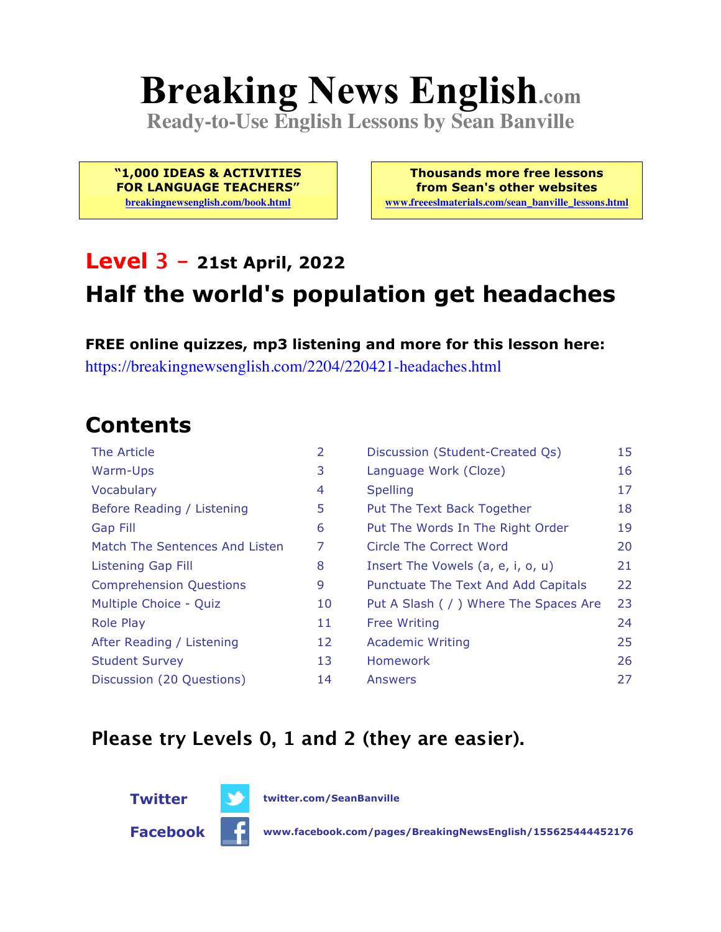# **Breaking News English.com**

**Ready-to-Use English Lessons by Sean Banville**

**"1,000 IDEAS & ACTIVITIES FOR LANGUAGE TEACHERS"**

**breakingnewsenglish.com/book.html**

**Thousands more free lessons from Sean's other websites www.freeeslmaterials.com/sean\_banville\_lessons.html**

#### **Level 3 - 21st April, 2022**

### **Half the world's population get headaches**

**FREE online quizzes, mp3 listening and more for this lesson here:** https://breakingnewsenglish.com/2204/220421-headaches.html

### **Contents**

| The Article                    | 2  | Discussion (Student-Created Qs)        | 15 |
|--------------------------------|----|----------------------------------------|----|
| Warm-Ups                       | 3  | Language Work (Cloze)                  | 16 |
| Vocabulary                     | 4  | <b>Spelling</b>                        | 17 |
| Before Reading / Listening     | 5  | Put The Text Back Together             | 18 |
| <b>Gap Fill</b>                | 6  | Put The Words In The Right Order       | 19 |
| Match The Sentences And Listen | 7  | Circle The Correct Word                | 20 |
| Listening Gap Fill             | 8  | Insert The Vowels (a, e, i, o, u)      | 21 |
| <b>Comprehension Questions</b> | 9  | Punctuate The Text And Add Capitals    | 22 |
| Multiple Choice - Quiz         | 10 | Put A Slash ( / ) Where The Spaces Are | 23 |
| <b>Role Play</b>               | 11 | <b>Free Writing</b>                    | 24 |
| After Reading / Listening      | 12 | <b>Academic Writing</b>                | 25 |
| <b>Student Survey</b>          | 13 | <b>Homework</b>                        | 26 |
| Discussion (20 Questions)      | 14 | Answers                                | 27 |

#### **Please try Levels 0, 1 and 2 (they are easier).**



**Facebook www.facebook.com/pages/BreakingNewsEnglish/155625444452176**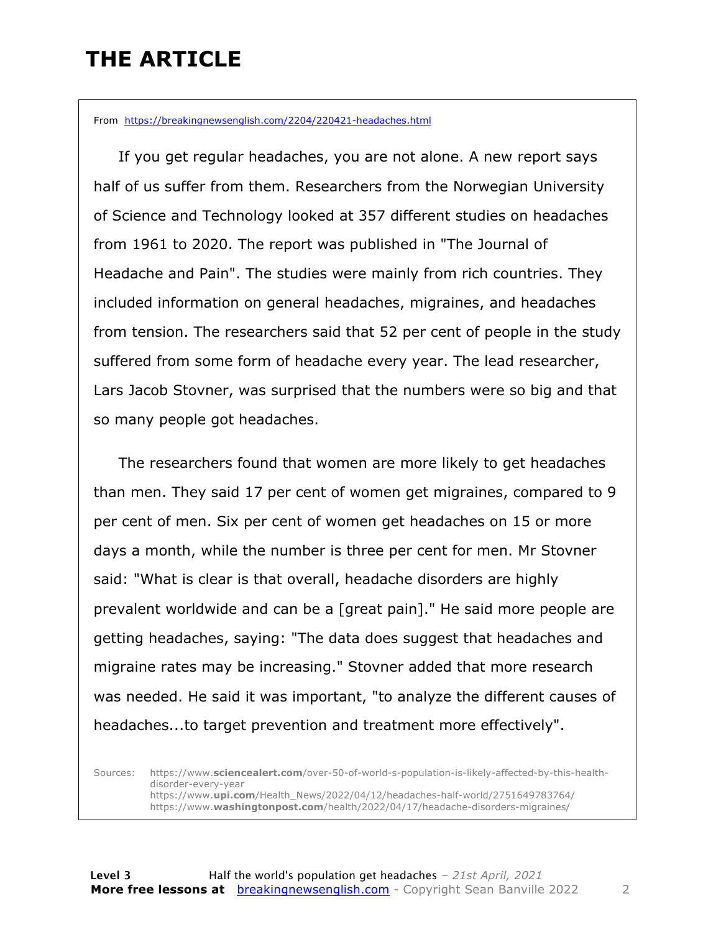### **THE ARTICLE**

From https://breakingnewsenglish.com/2204/220421-headaches.html

 If you get regular headaches, you are not alone. A new report says half of us suffer from them. Researchers from the Norwegian University of Science and Technology looked at 357 different studies on headaches from 1961 to 2020. The report was published in "The Journal of Headache and Pain". The studies were mainly from rich countries. They included information on general headaches, migraines, and headaches from tension. The researchers said that 52 per cent of people in the study suffered from some form of headache every year. The lead researcher, Lars Jacob Stovner, was surprised that the numbers were so big and that so many people got headaches.

 The researchers found that women are more likely to get headaches than men. They said 17 per cent of women get migraines, compared to 9 per cent of men. Six per cent of women get headaches on 15 or more days a month, while the number is three per cent for men. Mr Stovner said: "What is clear is that overall, headache disorders are highly prevalent worldwide and can be a [great pain]." He said more people are getting headaches, saying: "The data does suggest that headaches and migraine rates may be increasing." Stovner added that more research was needed. He said it was important, "to analyze the different causes of headaches...to target prevention and treatment more effectively".

Sources: https://www.**sciencealert.com**/over-50-of-world-s-population-is-likely-affected-by-this-healthdisorder-every-year https://www.**upi.com**/Health\_News/2022/04/12/headaches-half-world/2751649783764/ https://www.**washingtonpost.com**/health/2022/04/17/headache-disorders-migraines/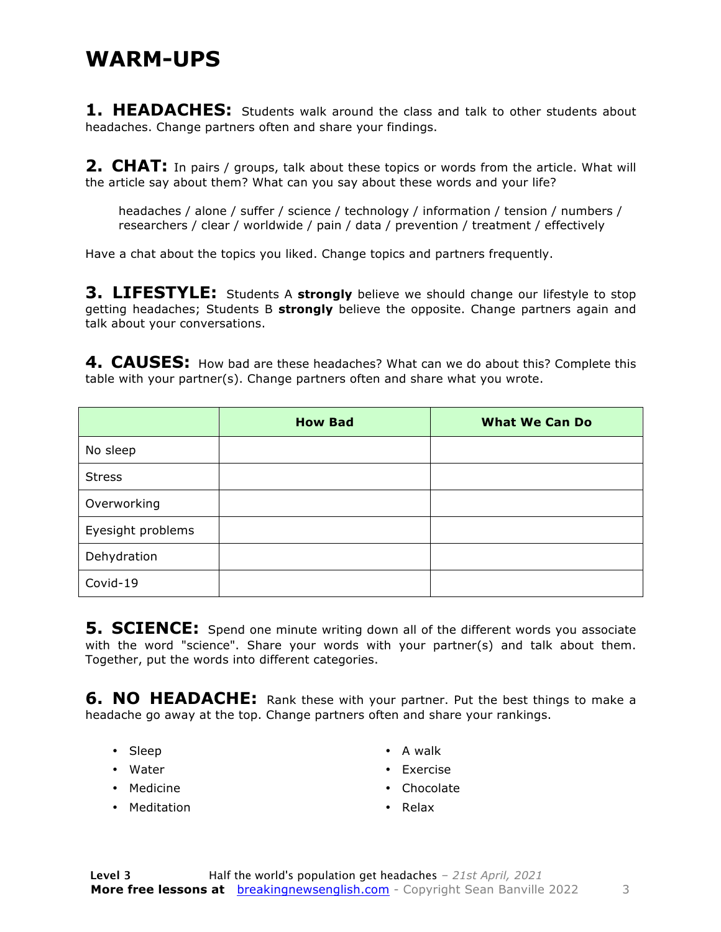#### **WARM-UPS**

**1. HEADACHES:** Students walk around the class and talk to other students about headaches. Change partners often and share your findings.

**2. CHAT:** In pairs / groups, talk about these topics or words from the article. What will the article say about them? What can you say about these words and your life?

headaches / alone / suffer / science / technology / information / tension / numbers / researchers / clear / worldwide / pain / data / prevention / treatment / effectively

Have a chat about the topics you liked. Change topics and partners frequently.

**3. LIFESTYLE:** Students A strongly believe we should change our lifestyle to stop getting headaches; Students B **strongly** believe the opposite. Change partners again and talk about your conversations.

**4. CAUSES:** How bad are these headaches? What can we do about this? Complete this table with your partner(s). Change partners often and share what you wrote.

|                   | <b>How Bad</b> | <b>What We Can Do</b> |
|-------------------|----------------|-----------------------|
| No sleep          |                |                       |
| <b>Stress</b>     |                |                       |
| Overworking       |                |                       |
| Eyesight problems |                |                       |
| Dehydration       |                |                       |
| Covid-19          |                |                       |

**5. SCIENCE:** Spend one minute writing down all of the different words you associate with the word "science". Share your words with your partner(s) and talk about them. Together, put the words into different categories.

**6. NO HEADACHE:** Rank these with your partner. Put the best things to make a headache go away at the top. Change partners often and share your rankings.

- Sleep
- Water
- Medicine
- Meditation
- A walk
- Exercise
- Chocolate
- Relax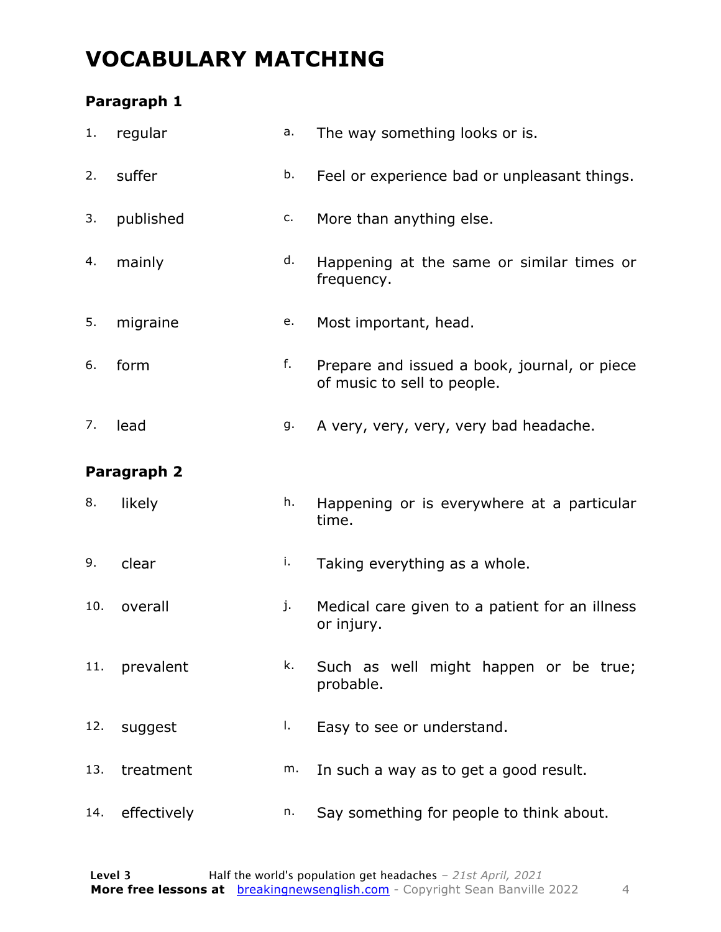### **VOCABULARY MATCHING**

#### **Paragraph 1**

| 1.  | regular     | a. | The way something looks or is.                                              |
|-----|-------------|----|-----------------------------------------------------------------------------|
| 2.  | suffer      | b. | Feel or experience bad or unpleasant things.                                |
| 3.  | published   | c. | More than anything else.                                                    |
| 4.  | mainly      | d. | Happening at the same or similar times or<br>frequency.                     |
| 5.  | migraine    | e. | Most important, head.                                                       |
| 6.  | form        | f. | Prepare and issued a book, journal, or piece<br>of music to sell to people. |
| 7.  | lead        | g. | A very, very, very, very bad headache.                                      |
|     | Paragraph 2 |    |                                                                             |
| 8.  | likely      | h. | Happening or is everywhere at a particular<br>time.                         |
| 9.  | clear       | i. | Taking everything as a whole.                                               |
| 10. | overall     | j. | Medical care given to a patient for an illness<br>or injury.                |
| 11. | prevalent   | k. | Such as well might happen or be true;<br>probable.                          |
| 12. | suggest     | I. | Easy to see or understand.                                                  |
| 13. | treatment   | m. | In such a way as to get a good result.                                      |
| 14. | effectively | n. | Say something for people to think about.                                    |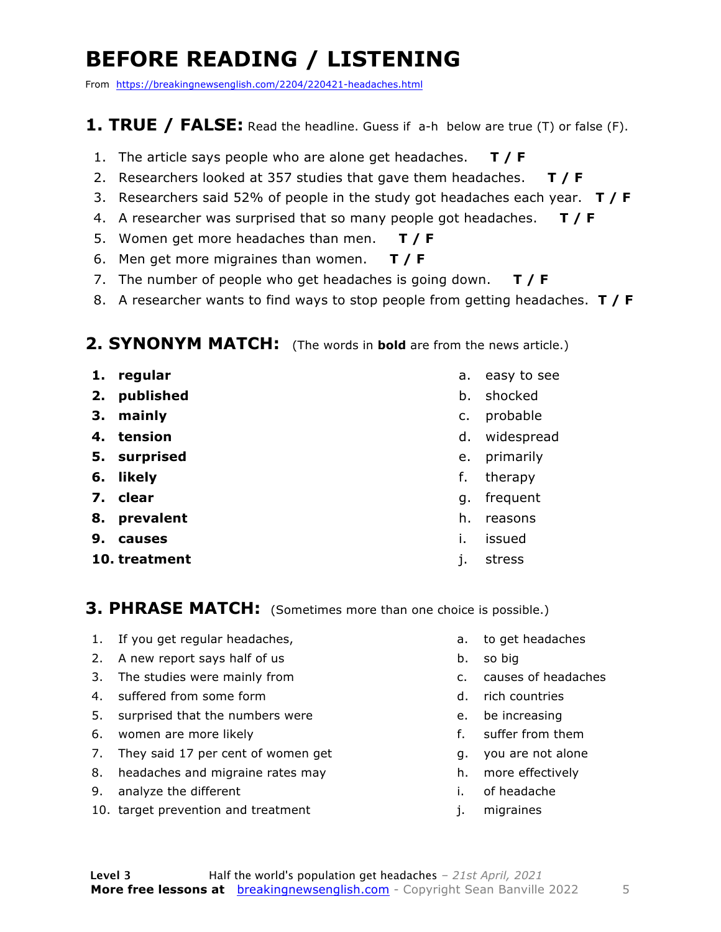### **BEFORE READING / LISTENING**

From https://breakingnewsenglish.com/2204/220421-headaches.html

#### **1. TRUE / FALSE:** Read the headline. Guess if a-h below are true (T) or false (F).

- 1. The article says people who are alone get headaches. **T / F**
- 2. Researchers looked at 357 studies that gave them headaches. **T / F**
- 3. Researchers said 52% of people in the study got headaches each year. **T / F**
- 4. A researcher was surprised that so many people got headaches. **T / F**
- 5. Women get more headaches than men. **T / F**
- 6. Men get more migraines than women. **T / F**
- 7. The number of people who get headaches is going down. **T / F**
- 8. A researcher wants to find ways to stop people from getting headaches. **T / F**

#### **2. SYNONYM MATCH:** (The words in **bold** are from the news article.)

- **1. regular**
- **2. published**
- **3. mainly**
- **4. tension**
- **5. surprised**
- **6. likely**
- **7. clear**
- **8. prevalent**
- **9. causes**
- **10. treatment**
- a. easy to see
- b. shocked
- c. probable
- d. widespread
- e. primarily
- f. therapy
- g. frequent
- h. reasons
- i. issued
- j. stress

**3. PHRASE MATCH:** (Sometimes more than one choice is possible.)

- 1. If you get regular headaches,
- 2. A new report says half of us
- 3. The studies were mainly from
- 4. suffered from some form
- 5. surprised that the numbers were
- 6. women are more likely
- 7. They said 17 per cent of women get
- 8. headaches and migraine rates may
- 9. analyze the different
- 10. target prevention and treatment
- a. to get headaches
- b. so big
- c. causes of headaches
- d. rich countries
- e. be increasing
- f. suffer from them
- g. you are not alone
- h. more effectively
- i. of headache
- j. migraines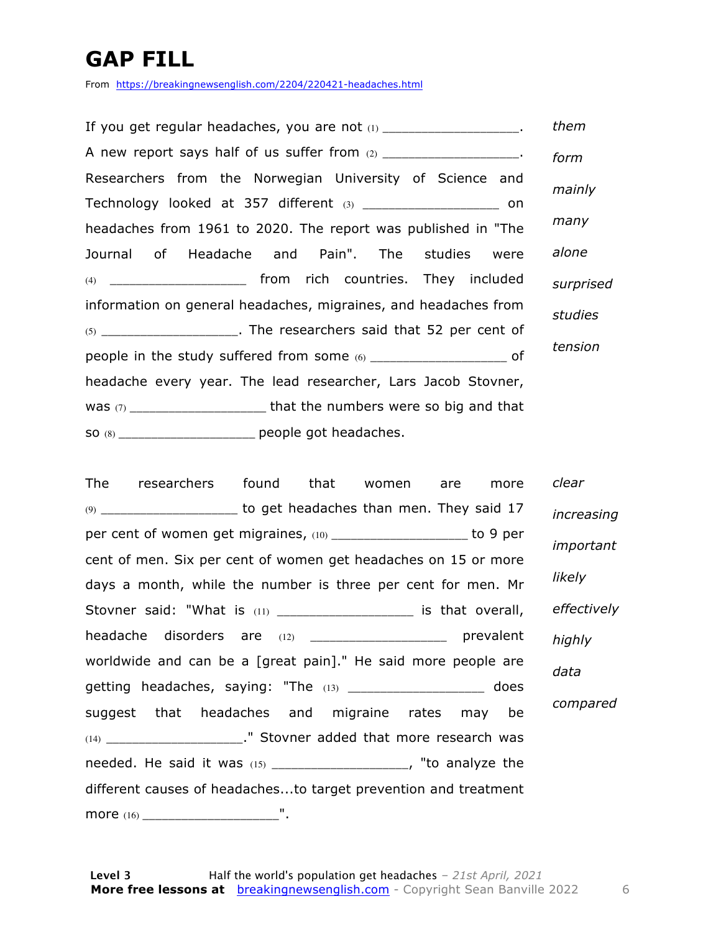### **GAP FILL**

From https://breakingnewsenglish.com/2204/220421-headaches.html

| If you get regular headaches, you are not (1) _____________________.  | them      |
|-----------------------------------------------------------------------|-----------|
| A new report says half of us suffer from (2) ____________________.    | form      |
| Researchers from the Norwegian University of Science and              | mainly    |
| Technology looked at 357 different (3) _______________________ on     |           |
| headaches from 1961 to 2020. The report was published in "The         | many      |
| Journal of Headache and Pain". The studies were                       | alone     |
| (4) _______________________ from rich countries. They included        | surprised |
| information on general headaches, migraines, and headaches from       | studies   |
| $(5)$ ____________________. The researchers said that 52 per cent of  |           |
| people in the study suffered from some (6) _______________________ of | tension   |
| headache every year. The lead researcher, Lars Jacob Stovner,         |           |
|                                                                       |           |
| so (8) ________________________ people got headaches.                 |           |

The researchers found that women are more (9) \_\_\_\_\_\_\_\_\_\_\_\_\_\_\_\_\_\_\_\_\_ to get headaches than men. They said 17 per cent of women get migraines, (10) \_\_\_\_\_\_\_\_\_\_\_\_\_\_\_\_\_\_\_\_\_\_ to 9 per cent of men. Six per cent of women get headaches on 15 or more days a month, while the number is three per cent for men. Mr Stovner said: "What is (11) \_\_\_\_\_\_\_\_\_\_\_\_\_\_\_\_\_\_\_\_\_\_ is that overall, headache disorders are (12) \_\_\_\_\_\_\_\_\_\_\_\_\_\_\_\_\_\_\_\_\_\_\_\_\_\_ prevalent worldwide and can be a [great pain]." He said more people are getting headaches, saying: "The (13) \_\_\_\_\_\_\_\_\_\_\_\_\_\_\_\_\_\_\_\_ does suggest that headaches and migraine rates may be (14) \_\_\_\_\_\_\_\_\_\_\_\_\_\_\_\_\_\_\_\_\_\_\_." Stovner added that more research was needed. He said it was (15) \_\_\_\_\_\_\_\_\_\_\_\_\_\_\_\_\_\_\_\_\_, "to analyze the different causes of headaches...to target prevention and treatment more (16) \_\_\_\_\_\_\_\_\_\_\_\_\_\_\_\_\_\_\_\_\_". *clear increasing important likely effectively highly data compared*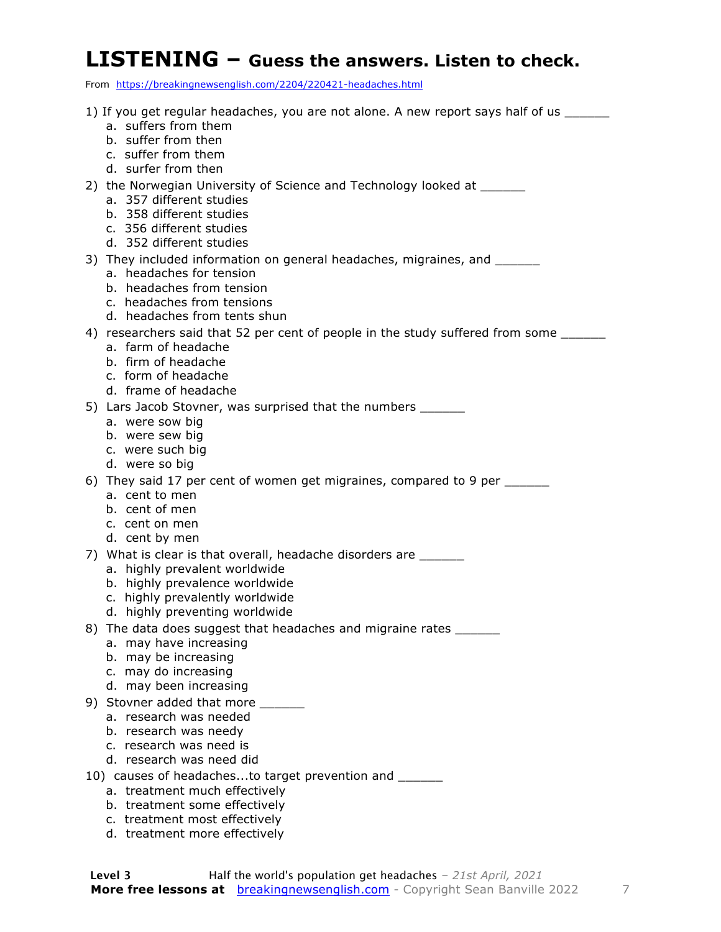#### **LISTENING – Guess the answers. Listen to check.**

From https://breakingnewsenglish.com/2204/220421-headaches.html

- 1) If you get regular headaches, you are not alone. A new report says half of us a. suffers from them b. suffer from then c. suffer from them d. surfer from then 2) the Norwegian University of Science and Technology looked at \_\_\_\_\_\_ a. 357 different studies b. 358 different studies c. 356 different studies d. 352 different studies 3) They included information on general headaches, migraines, and \_\_\_\_\_\_\_ a. headaches for tension b. headaches from tension c. headaches from tensions d. headaches from tents shun 4) researchers said that 52 per cent of people in the study suffered from some \_\_\_\_\_\_ a. farm of headache b. firm of headache c. form of headache d. frame of headache 5) Lars Jacob Stovner, was surprised that the numbers \_\_\_\_\_\_ a. were sow big b. were sew big c. were such big d. were so big 6) They said 17 per cent of women get migraines, compared to 9 per a. cent to men b. cent of men c. cent on men d. cent by men 7) What is clear is that overall, headache disorders are a. highly prevalent worldwide b. highly prevalence worldwide c. highly prevalently worldwide d. highly preventing worldwide 8) The data does suggest that headaches and migraine rates a. may have increasing b. may be increasing c. may do increasing d. may been increasing 9) Stovner added that more \_\_\_\_\_\_ a. research was needed b. research was needy c. research was need is d. research was need did 10) causes of headaches...to target prevention and \_\_\_\_\_\_ a. treatment much effectively b. treatment some effectively c. treatment most effectively
	- d. treatment more effectively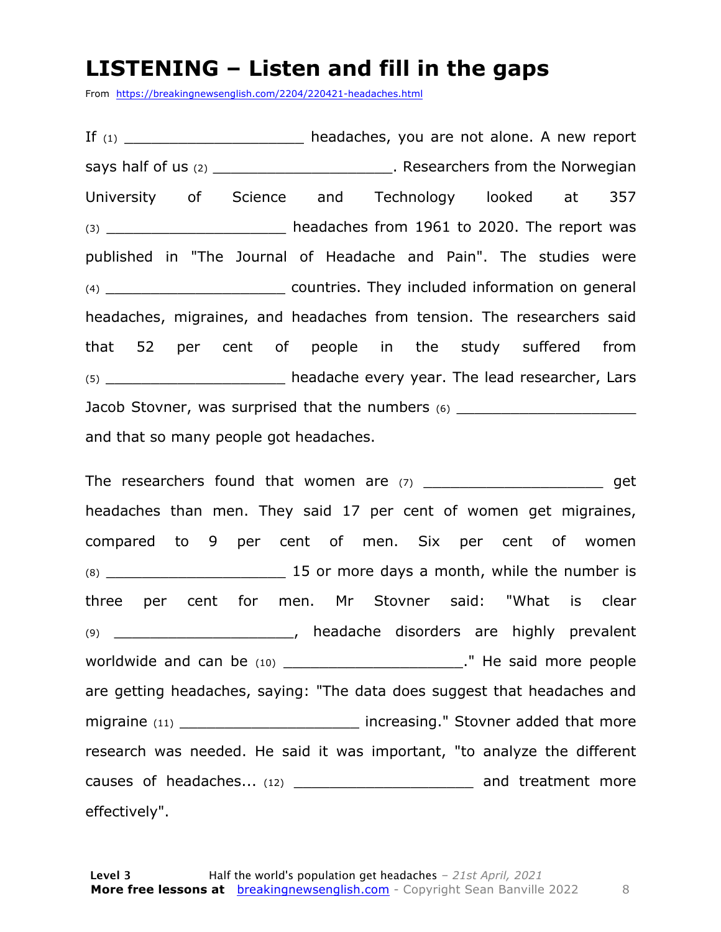#### **LISTENING – Listen and fill in the gaps**

From https://breakingnewsenglish.com/2204/220421-headaches.html

If  $(1)$  \_\_\_\_\_\_\_\_\_\_\_\_\_\_\_\_\_\_\_\_\_\_\_\_ headaches, you are not alone. A new report says half of us (2) \_\_\_\_\_\_\_\_\_\_\_\_\_\_\_\_\_\_\_\_\_\_\_\_. Researchers from the Norwegian University of Science and Technology looked at 357 (3) \_\_\_\_\_\_\_\_\_\_\_\_\_\_\_\_\_\_\_\_ headaches from 1961 to 2020. The report was published in "The Journal of Headache and Pain". The studies were (4) \_\_\_\_\_\_\_\_\_\_\_\_\_\_\_\_\_\_\_\_ countries. They included information on general headaches, migraines, and headaches from tension. The researchers said that 52 per cent of people in the study suffered from (5) The headache every year. The lead researcher, Lars Jacob Stovner, was surprised that the numbers (6) \_\_\_\_\_\_\_\_\_\_\_\_\_\_\_\_\_\_\_\_\_\_\_\_\_\_\_\_\_\_ and that so many people got headaches.

The researchers found that women are (7) \_\_\_\_\_\_\_\_\_\_\_\_\_\_\_\_\_\_\_\_\_\_\_\_\_\_ get headaches than men. They said 17 per cent of women get migraines, compared to 9 per cent of men. Six per cent of women (8) \_\_\_\_\_\_\_\_\_\_\_\_\_\_\_\_\_\_\_\_ 15 or more days a month, while the number is three per cent for men. Mr Stovner said: "What is clear (9) \_\_\_\_\_\_\_\_\_\_\_\_\_\_\_\_\_\_\_\_, headache disorders are highly prevalent worldwide and can be (10) \_\_\_\_\_\_\_\_\_\_\_\_\_\_\_\_\_\_\_\_." He said more people are getting headaches, saying: "The data does suggest that headaches and migraine (11) **Example 20 increasing.**" Stovner added that more research was needed. He said it was important, "to analyze the different causes of headaches... (12) \_\_\_\_\_\_\_\_\_\_\_\_\_\_\_\_\_\_\_\_\_\_\_\_\_\_ and treatment more effectively".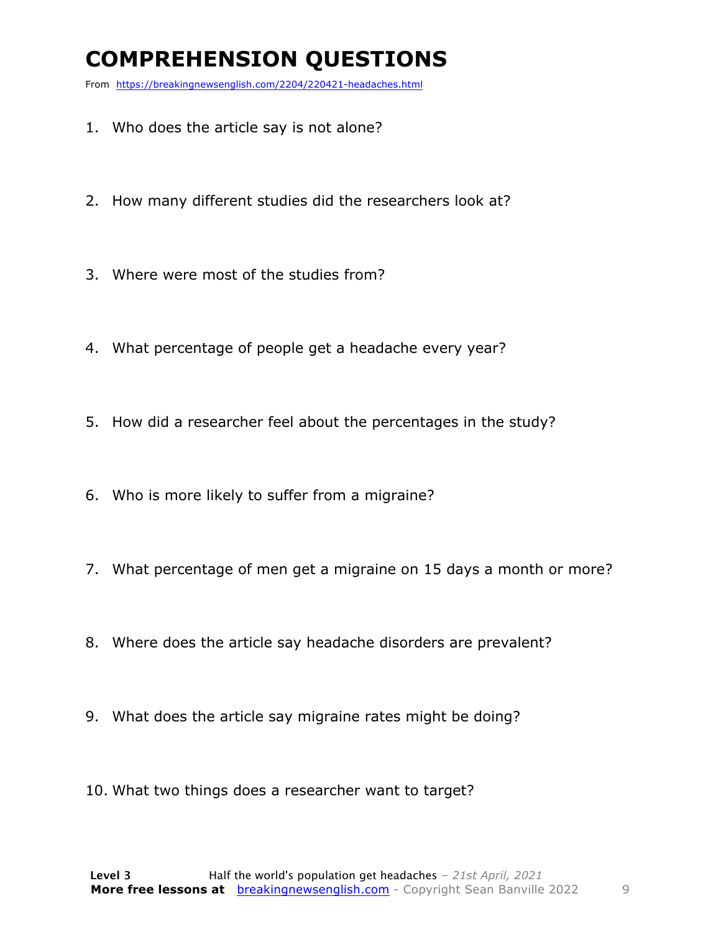### **COMPREHENSION QUESTIONS**

From https://breakingnewsenglish.com/2204/220421-headaches.html

- 1. Who does the article say is not alone?
- 2. How many different studies did the researchers look at?
- 3. Where were most of the studies from?
- 4. What percentage of people get a headache every year?
- 5. How did a researcher feel about the percentages in the study?
- 6. Who is more likely to suffer from a migraine?
- 7. What percentage of men get a migraine on 15 days a month or more?
- 8. Where does the article say headache disorders are prevalent?
- 9. What does the article say migraine rates might be doing?
- 10. What two things does a researcher want to target?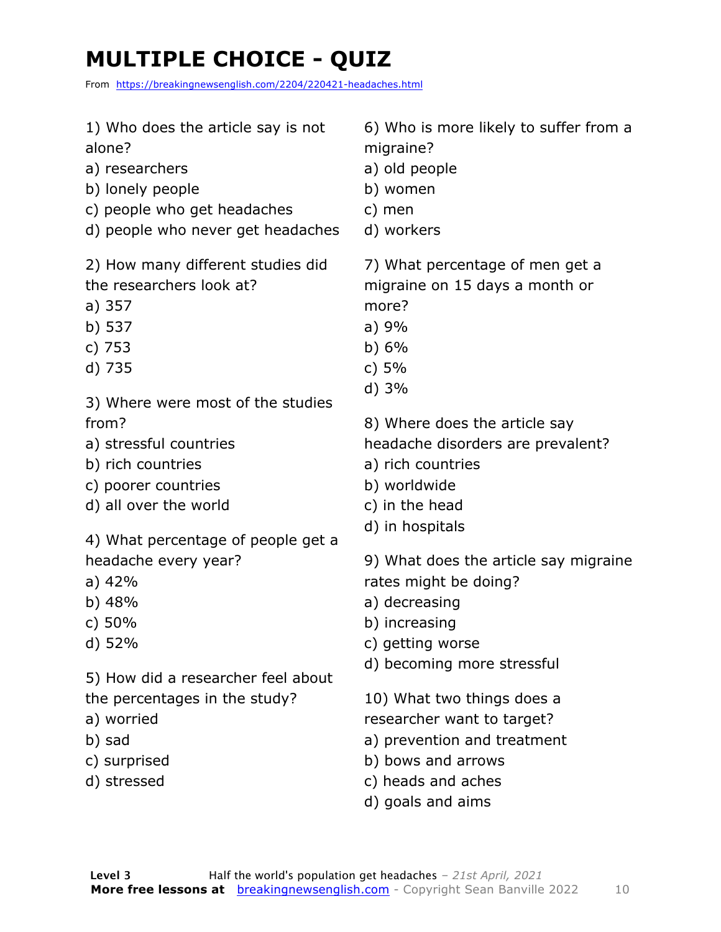### **MULTIPLE CHOICE - QUIZ**

From https://breakingnewsenglish.com/2204/220421-headaches.html

| 1) Who does the article say is not                                                                                                               | 6) Who is more likely to suffer from a                                                                                                                                                                                      |
|--------------------------------------------------------------------------------------------------------------------------------------------------|-----------------------------------------------------------------------------------------------------------------------------------------------------------------------------------------------------------------------------|
| alone?                                                                                                                                           | migraine?                                                                                                                                                                                                                   |
| a) researchers                                                                                                                                   | a) old people                                                                                                                                                                                                               |
| b) lonely people                                                                                                                                 | b) women                                                                                                                                                                                                                    |
| c) people who get headaches                                                                                                                      | c) men                                                                                                                                                                                                                      |
| d) people who never get headaches                                                                                                                | d) workers                                                                                                                                                                                                                  |
| 2) How many different studies did                                                                                                                | 7) What percentage of men get a                                                                                                                                                                                             |
| the researchers look at?                                                                                                                         | migraine on 15 days a month or                                                                                                                                                                                              |
| a) 357                                                                                                                                           | more?                                                                                                                                                                                                                       |
| b) 537                                                                                                                                           | a)9%                                                                                                                                                                                                                        |
| c) 753                                                                                                                                           | b) $6\%$                                                                                                                                                                                                                    |
| d) 735                                                                                                                                           | c) $5%$                                                                                                                                                                                                                     |
| 3) Where were most of the studies                                                                                                                | d) 3%                                                                                                                                                                                                                       |
| from?                                                                                                                                            | 8) Where does the article say                                                                                                                                                                                               |
| a) stressful countries                                                                                                                           | headache disorders are prevalent?                                                                                                                                                                                           |
| b) rich countries                                                                                                                                | a) rich countries                                                                                                                                                                                                           |
| c) poorer countries                                                                                                                              | b) worldwide                                                                                                                                                                                                                |
| d) all over the world                                                                                                                            | c) in the head                                                                                                                                                                                                              |
| 4) What percentage of people get a                                                                                                               | d) in hospitals                                                                                                                                                                                                             |
| headache every year?                                                                                                                             | 9) What does the article say migraine                                                                                                                                                                                       |
| a) $42%$                                                                                                                                         | rates might be doing?                                                                                                                                                                                                       |
| b) $48%$                                                                                                                                         | a) decreasing                                                                                                                                                                                                               |
| c) $50%$<br>d) 52%<br>5) How did a researcher feel about<br>the percentages in the study?<br>a) worried<br>b) sad<br>c) surprised<br>d) stressed | b) increasing<br>c) getting worse<br>d) becoming more stressful<br>10) What two things does a<br>researcher want to target?<br>a) prevention and treatment<br>b) bows and arrows<br>c) heads and aches<br>d) goals and aims |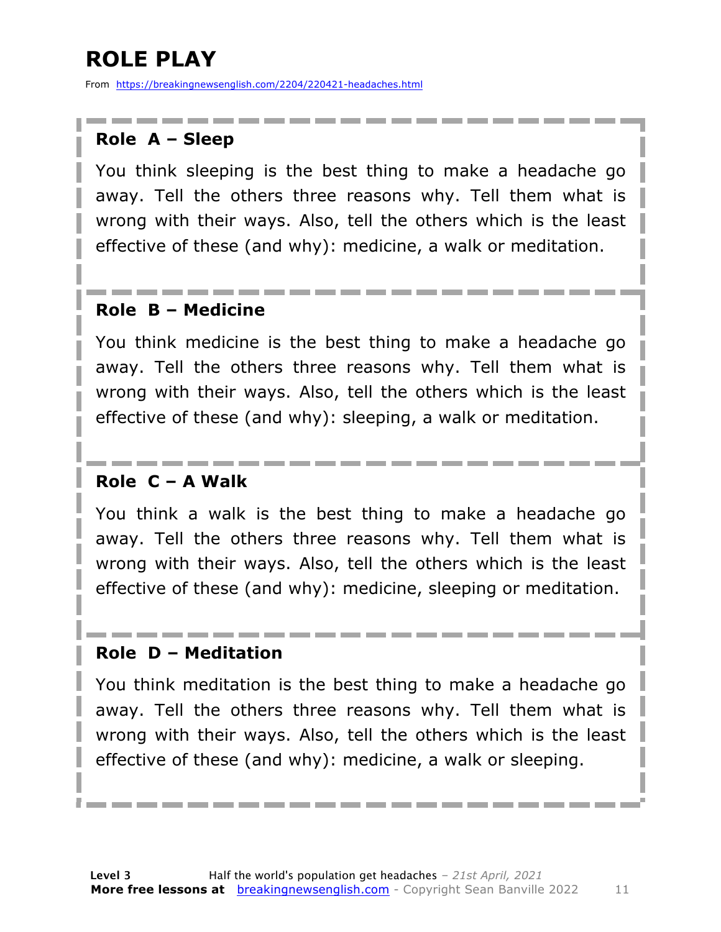### **ROLE PLAY**

From https://breakingnewsenglish.com/2204/220421-headaches.html

#### **Role A – Sleep**

You think sleeping is the best thing to make a headache go away. Tell the others three reasons why. Tell them what is wrong with their ways. Also, tell the others which is the least effective of these (and why): medicine, a walk or meditation.

#### **Role B – Medicine**

You think medicine is the best thing to make a headache go away. Tell the others three reasons why. Tell them what is wrong with their ways. Also, tell the others which is the least effective of these (and why): sleeping, a walk or meditation.

#### **Role C – A Walk**

You think a walk is the best thing to make a headache go away. Tell the others three reasons why. Tell them what is wrong with their ways. Also, tell the others which is the least effective of these (and why): medicine, sleeping or meditation.

#### **Role D – Meditation**

You think meditation is the best thing to make a headache go away. Tell the others three reasons why. Tell them what is wrong with their ways. Also, tell the others which is the least effective of these (and why): medicine, a walk or sleeping.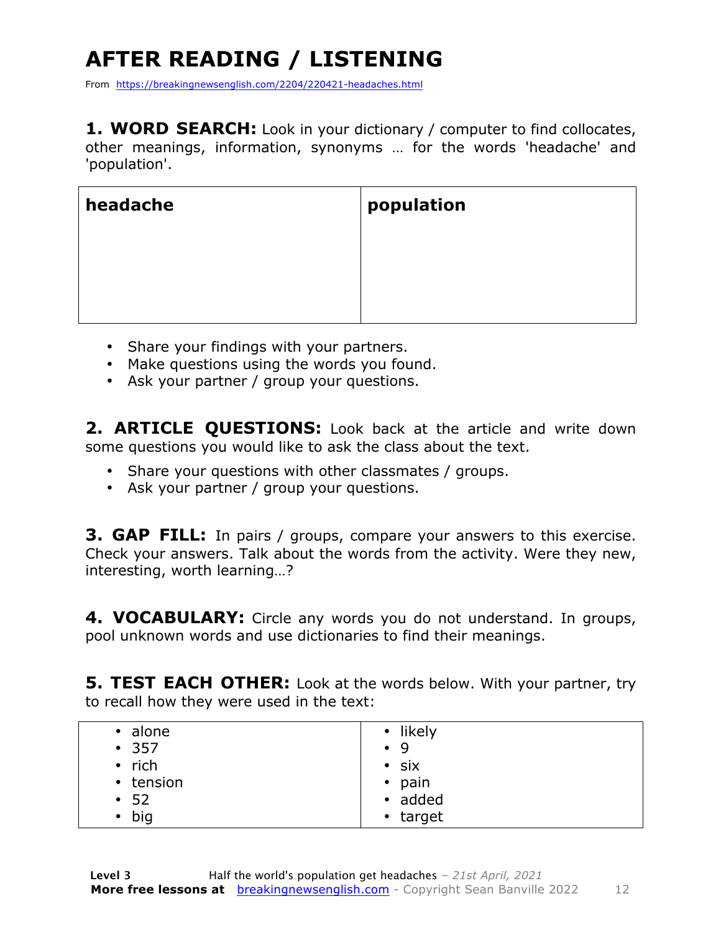## **AFTER READING / LISTENING**

From https://breakingnewsenglish.com/2204/220421-headaches.html

**1. WORD SEARCH:** Look in your dictionary / computer to find collocates, other meanings, information, synonyms … for the words 'headache' and 'population'.

| headache | population |
|----------|------------|
|          |            |
|          |            |
|          |            |

- Share your findings with your partners.
- Make questions using the words you found.
- Ask your partner / group your questions.

**2. ARTICLE QUESTIONS:** Look back at the article and write down some questions you would like to ask the class about the text.

- Share your questions with other classmates / groups.
- Ask your partner / group your questions.

**3. GAP FILL:** In pairs / groups, compare your answers to this exercise. Check your answers. Talk about the words from the activity. Were they new, interesting, worth learning…?

**4. VOCABULARY:** Circle any words you do not understand. In groups, pool unknown words and use dictionaries to find their meanings.

**5. TEST EACH OTHER:** Look at the words below. With your partner, try to recall how they were used in the text:

| • alone       | • likely       |
|---------------|----------------|
| • 357         | $\bullet$ 9    |
| $\cdot$ rich  | $\cdot$ six    |
| • tension     | $\bullet$ pain |
| $\cdot$ 52    | • added        |
| $\bullet$ big | • target       |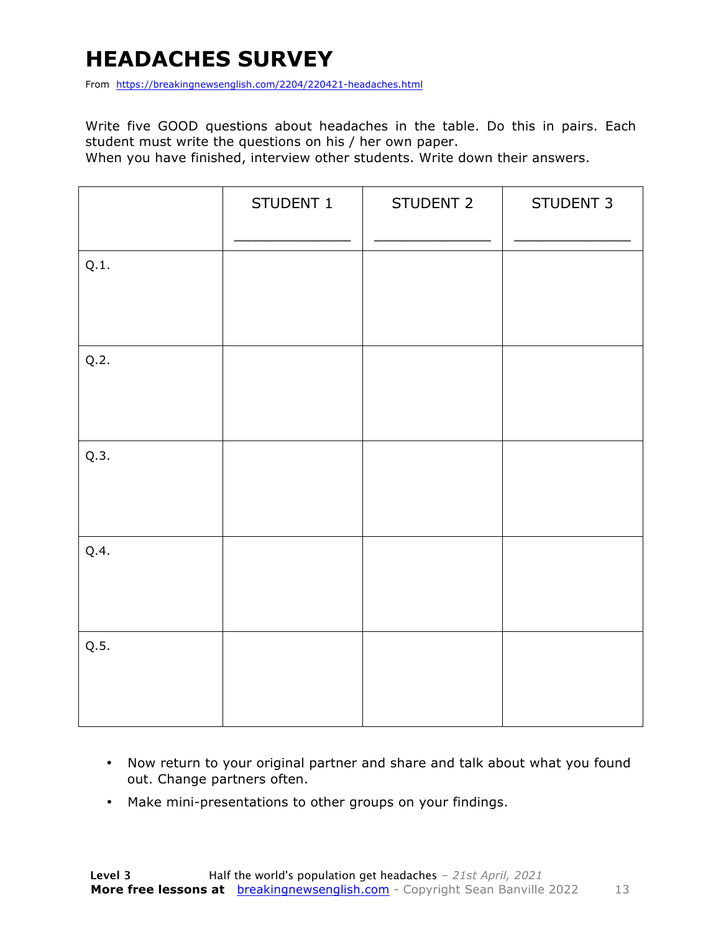### **HEADACHES SURVEY**

From https://breakingnewsenglish.com/2204/220421-headaches.html

Write five GOOD questions about headaches in the table. Do this in pairs. Each student must write the questions on his / her own paper.

When you have finished, interview other students. Write down their answers.

|      | STUDENT 1 | STUDENT 2 | STUDENT 3 |
|------|-----------|-----------|-----------|
| Q.1. |           |           |           |
| Q.2. |           |           |           |
| Q.3. |           |           |           |
| Q.4. |           |           |           |
| Q.5. |           |           |           |

- Now return to your original partner and share and talk about what you found out. Change partners often.
- Make mini-presentations to other groups on your findings.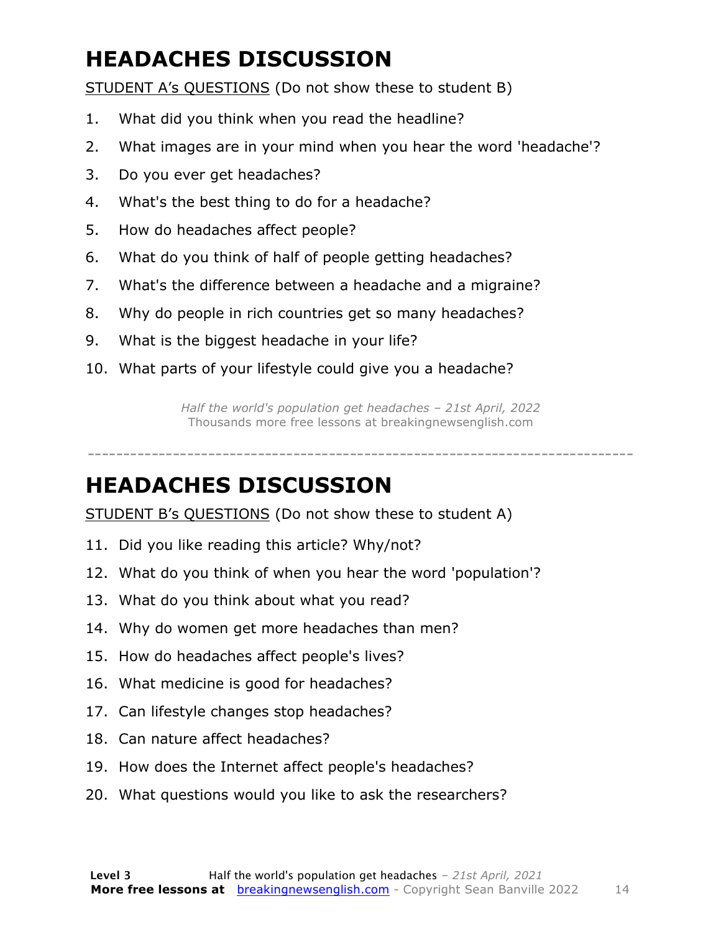### **HEADACHES DISCUSSION**

STUDENT A's QUESTIONS (Do not show these to student B)

- 1. What did you think when you read the headline?
- 2. What images are in your mind when you hear the word 'headache'?
- 3. Do you ever get headaches?
- 4. What's the best thing to do for a headache?
- 5. How do headaches affect people?
- 6. What do you think of half of people getting headaches?
- 7. What's the difference between a headache and a migraine?
- 8. Why do people in rich countries get so many headaches?
- 9. What is the biggest headache in your life?
- 10. What parts of your lifestyle could give you a headache?

*Half the world's population get headaches – 21st April, 2022* Thousands more free lessons at breakingnewsenglish.com

#### -----------------------------------------------------------------------------

#### **HEADACHES DISCUSSION**

STUDENT B's QUESTIONS (Do not show these to student A)

- 11. Did you like reading this article? Why/not?
- 12. What do you think of when you hear the word 'population'?
- 13. What do you think about what you read?
- 14. Why do women get more headaches than men?
- 15. How do headaches affect people's lives?
- 16. What medicine is good for headaches?
- 17. Can lifestyle changes stop headaches?
- 18. Can nature affect headaches?
- 19. How does the Internet affect people's headaches?
- 20. What questions would you like to ask the researchers?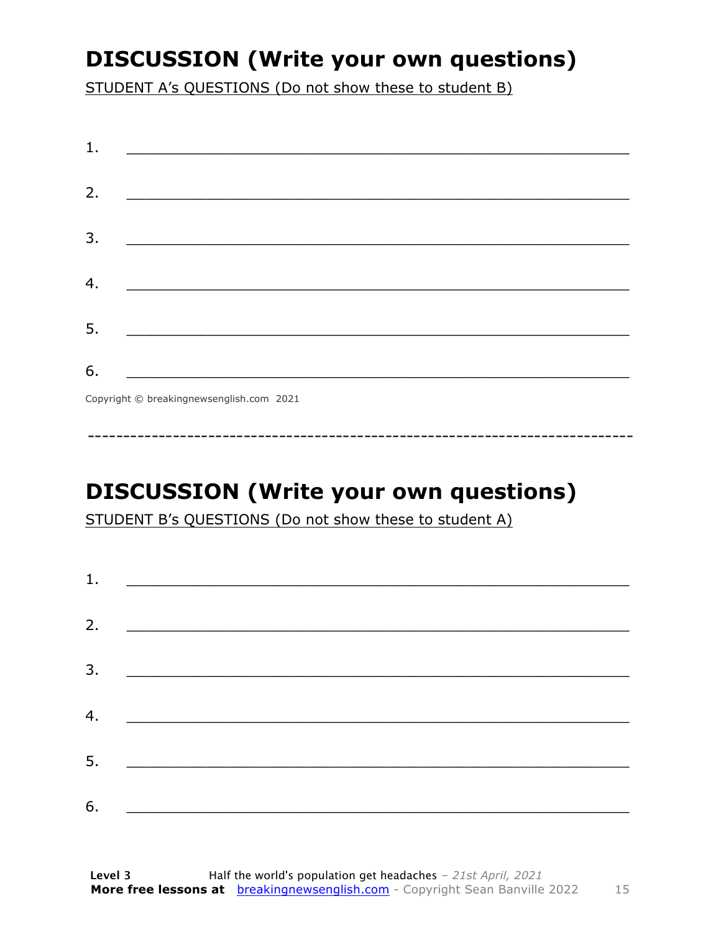### **DISCUSSION (Write your own questions)**

STUDENT A's QUESTIONS (Do not show these to student B)

| 1. |                                          |
|----|------------------------------------------|
|    |                                          |
| 2. |                                          |
|    |                                          |
| 3. |                                          |
|    |                                          |
| 4. |                                          |
|    |                                          |
| 5. |                                          |
|    |                                          |
| 6. |                                          |
|    | Copyright © breakingnewsenglish.com 2021 |

### **DISCUSSION (Write your own questions)**

STUDENT B's QUESTIONS (Do not show these to student A)

| 1. |                                                                                                                        |  |
|----|------------------------------------------------------------------------------------------------------------------------|--|
|    |                                                                                                                        |  |
| 2. |                                                                                                                        |  |
| 3. | <u> 1989 - Johann Stoff, deutscher Stoffen und der Stoffen und der Stoffen und der Stoffen und der Stoffen und der</u> |  |
| 4. | <u> 1980 - Jan Barbara Barat, martin da basar da basar da basar da basar da basar da basar da basar da basar da b</u>  |  |
| 5. |                                                                                                                        |  |
|    | <u> 1980 - Jan Barbarat, martin da basar da basar da basar da basar da basar da basar da basar da basar da basar</u>   |  |
| 6. |                                                                                                                        |  |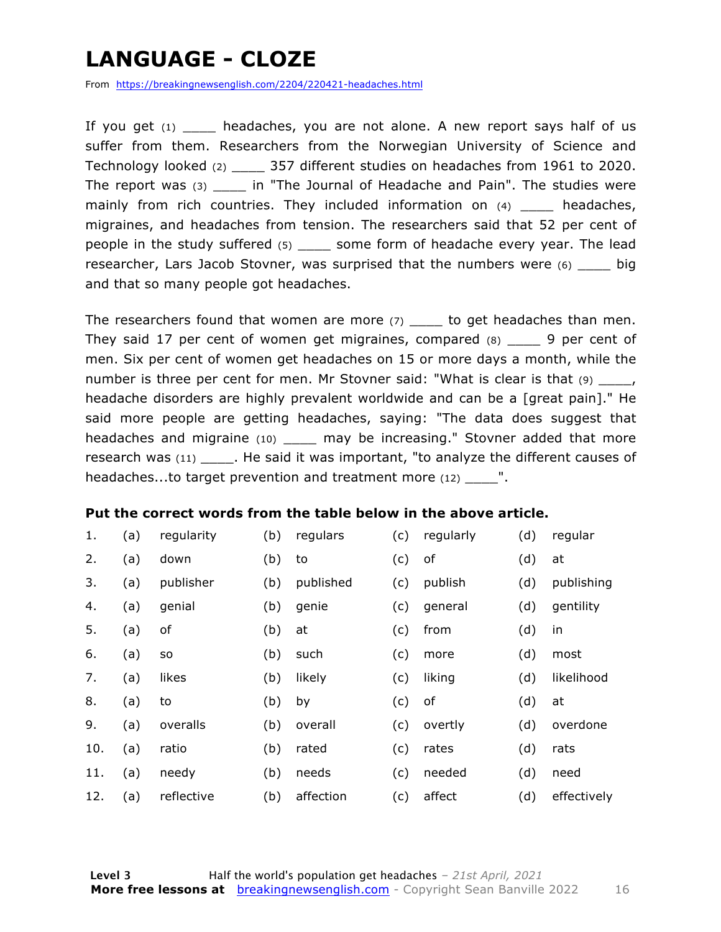### **LANGUAGE - CLOZE**

From https://breakingnewsenglish.com/2204/220421-headaches.html

If you get  $(1)$  headaches, you are not alone. A new report says half of us suffer from them. Researchers from the Norwegian University of Science and Technology looked (2) \_\_\_\_ 357 different studies on headaches from 1961 to 2020. The report was (3) \_\_\_\_ in "The Journal of Headache and Pain". The studies were mainly from rich countries. They included information on (4) \_\_\_\_\_ headaches, migraines, and headaches from tension. The researchers said that 52 per cent of people in the study suffered (5) \_\_\_\_ some form of headache every year. The lead researcher, Lars Jacob Stovner, was surprised that the numbers were (6) \_\_\_\_ big and that so many people got headaches.

The researchers found that women are more  $(7)$  \_\_\_\_\_ to get headaches than men. They said 17 per cent of women get migraines, compared (8) \_\_\_\_ 9 per cent of men. Six per cent of women get headaches on 15 or more days a month, while the number is three per cent for men. Mr Stovner said: "What is clear is that  $(9)$  \_\_\_\_, headache disorders are highly prevalent worldwide and can be a [great pain]." He said more people are getting headaches, saying: "The data does suggest that headaches and migraine (10) \_\_\_\_\_ may be increasing." Stovner added that more research was (11) \_\_\_\_\_. He said it was important, "to analyze the different causes of headaches...to target prevention and treatment more (12)  $\blacksquare$ .

#### **Put the correct words from the table below in the above article.**

| 1.  | (a) | regularity | (b) | regulars  | (c) | regularly | (d) | regular     |
|-----|-----|------------|-----|-----------|-----|-----------|-----|-------------|
| 2.  | (a) | down       | (b) | to        | (c) | оf        | (d) | at          |
| 3.  | (a) | publisher  | (b) | published | (c) | publish   | (d) | publishing  |
| 4.  | (a) | genial     | (b) | genie     | (c) | general   | (d) | gentility   |
| 5.  | (a) | оf         | (b) | at        | (c) | from      | (d) | in          |
| 6.  | (a) | SO         | (b) | such      | (c) | more      | (d) | most        |
| 7.  | (a) | likes      | (b) | likely    | (c) | liking    | (d) | likelihood  |
| 8.  | (a) | to         | (b) | by        | (c) | of        | (d) | at          |
| 9.  | (a) | overalls   | (b) | overall   | (c) | overtly   | (d) | overdone    |
| 10. | (a) | ratio      | (b) | rated     | (c) | rates     | (d) | rats        |
| 11. | (a) | needy      | (b) | needs     | (c) | needed    | (d) | need        |
| 12. | (a) | reflective | (b) | affection | (c) | affect    | (d) | effectively |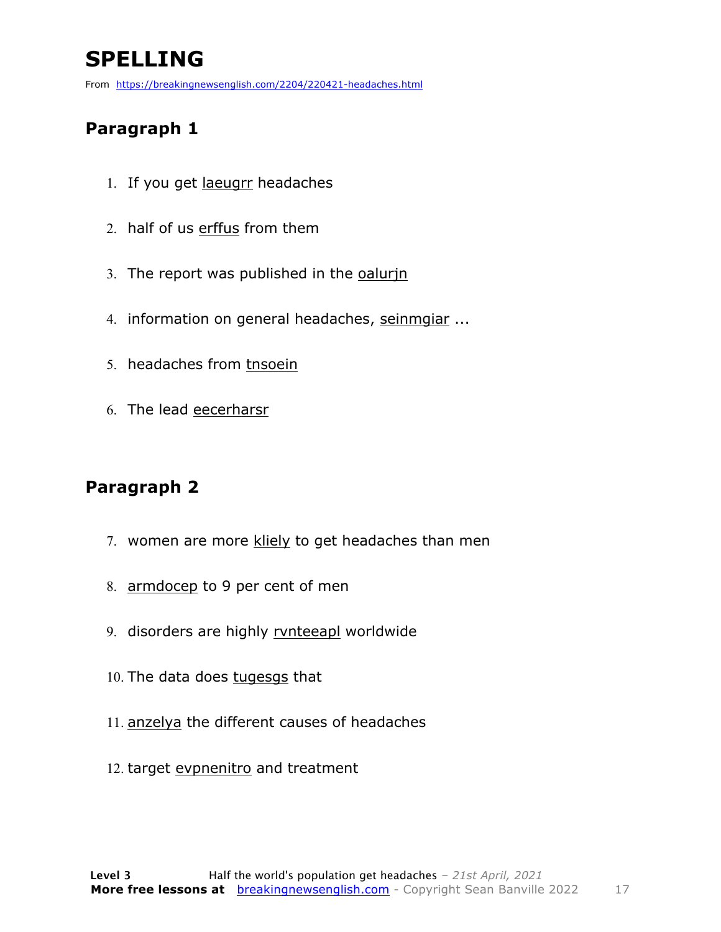### **SPELLING**

From https://breakingnewsenglish.com/2204/220421-headaches.html

#### **Paragraph 1**

- 1. If you get laeugrr headaches
- 2. half of us erffus from them
- 3. The report was published in the oalurin
- 4. information on general headaches, seinmgiar ...
- 5. headaches from tnsoein
- 6. The lead eecerharsr

#### **Paragraph 2**

- 7. women are more kliely to get headaches than men
- 8. armdocep to 9 per cent of men
- 9. disorders are highly rvnteeapl worldwide
- 10. The data does tugesgs that
- 11. anzelya the different causes of headaches
- 12. target evpnenitro and treatment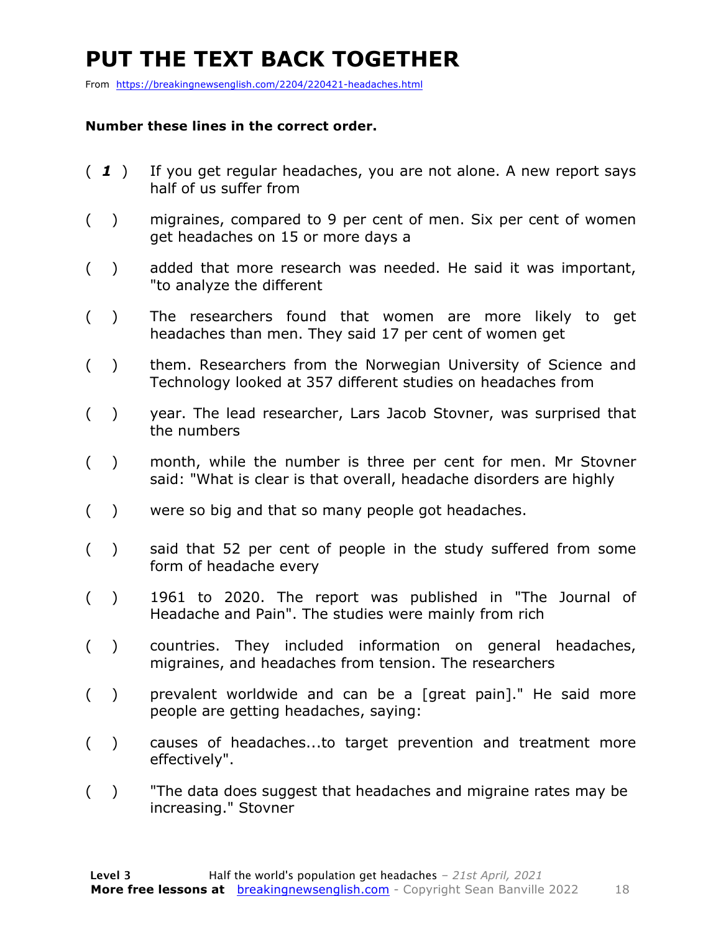### **PUT THE TEXT BACK TOGETHER**

From https://breakingnewsenglish.com/2204/220421-headaches.html

#### **Number these lines in the correct order.**

- ( *1* ) If you get regular headaches, you are not alone. A new report says half of us suffer from
- ( ) migraines, compared to 9 per cent of men. Six per cent of women get headaches on 15 or more days a
- ( ) added that more research was needed. He said it was important, "to analyze the different
- ( ) The researchers found that women are more likely to get headaches than men. They said 17 per cent of women get
- ( ) them. Researchers from the Norwegian University of Science and Technology looked at 357 different studies on headaches from
- ( ) year. The lead researcher, Lars Jacob Stovner, was surprised that the numbers
- ( ) month, while the number is three per cent for men. Mr Stovner said: "What is clear is that overall, headache disorders are highly
- ( ) were so big and that so many people got headaches.
- ( ) said that 52 per cent of people in the study suffered from some form of headache every
- ( ) 1961 to 2020. The report was published in "The Journal of Headache and Pain". The studies were mainly from rich
- ( ) countries. They included information on general headaches, migraines, and headaches from tension. The researchers
- ( ) prevalent worldwide and can be a [great pain]." He said more people are getting headaches, saying:
- ( ) causes of headaches...to target prevention and treatment more effectively".
- ( ) "The data does suggest that headaches and migraine rates may be increasing." Stovner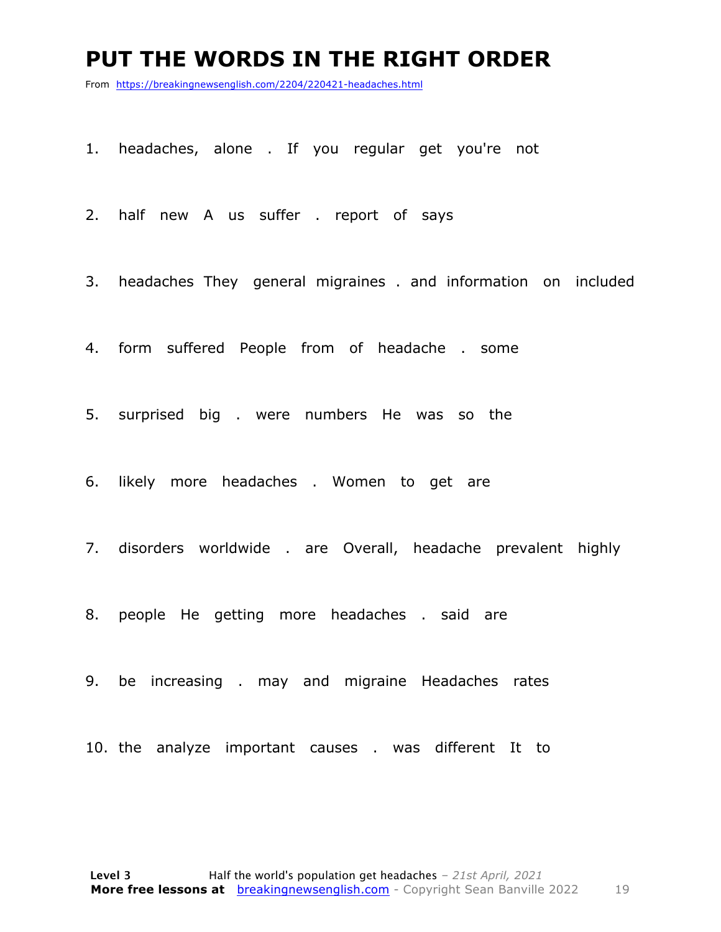#### **PUT THE WORDS IN THE RIGHT ORDER**

From https://breakingnewsenglish.com/2204/220421-headaches.html

1. headaches, alone . If you regular get you're not

2. half new A us suffer . report of says

3. headaches They general migraines . and information on included

4. form suffered People from of headache . some

5. surprised big . were numbers He was so the

6. likely more headaches . Women to get are

7. disorders worldwide . are Overall, headache prevalent highly

8. people He getting more headaches . said are

9. be increasing . may and migraine Headaches rates

10. the analyze important causes . was different It to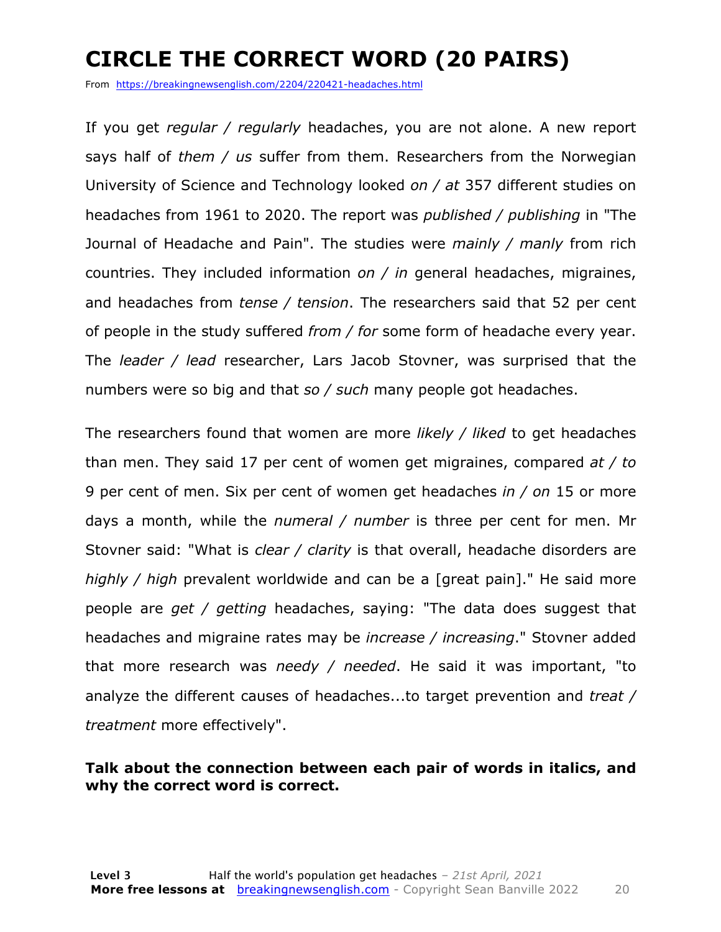### **CIRCLE THE CORRECT WORD (20 PAIRS)**

From https://breakingnewsenglish.com/2204/220421-headaches.html

If you get *regular / regularly* headaches, you are not alone. A new report says half of *them / us* suffer from them. Researchers from the Norwegian University of Science and Technology looked *on / at* 357 different studies on headaches from 1961 to 2020. The report was *published / publishing* in "The Journal of Headache and Pain". The studies were *mainly / manly* from rich countries. They included information *on / in* general headaches, migraines, and headaches from *tense / tension*. The researchers said that 52 per cent of people in the study suffered *from / for* some form of headache every year. The *leader / lead* researcher, Lars Jacob Stovner, was surprised that the numbers were so big and that *so / such* many people got headaches.

The researchers found that women are more *likely / liked* to get headaches than men. They said 17 per cent of women get migraines, compared *at / to* 9 per cent of men. Six per cent of women get headaches *in / on* 15 or more days a month, while the *numeral / number* is three per cent for men. Mr Stovner said: "What is *clear / clarity* is that overall, headache disorders are *highly / high* prevalent worldwide and can be a [great pain]." He said more people are *get / getting* headaches, saying: "The data does suggest that headaches and migraine rates may be *increase / increasing*." Stovner added that more research was *needy / needed*. He said it was important, "to analyze the different causes of headaches...to target prevention and *treat / treatment* more effectively".

#### **Talk about the connection between each pair of words in italics, and why the correct word is correct.**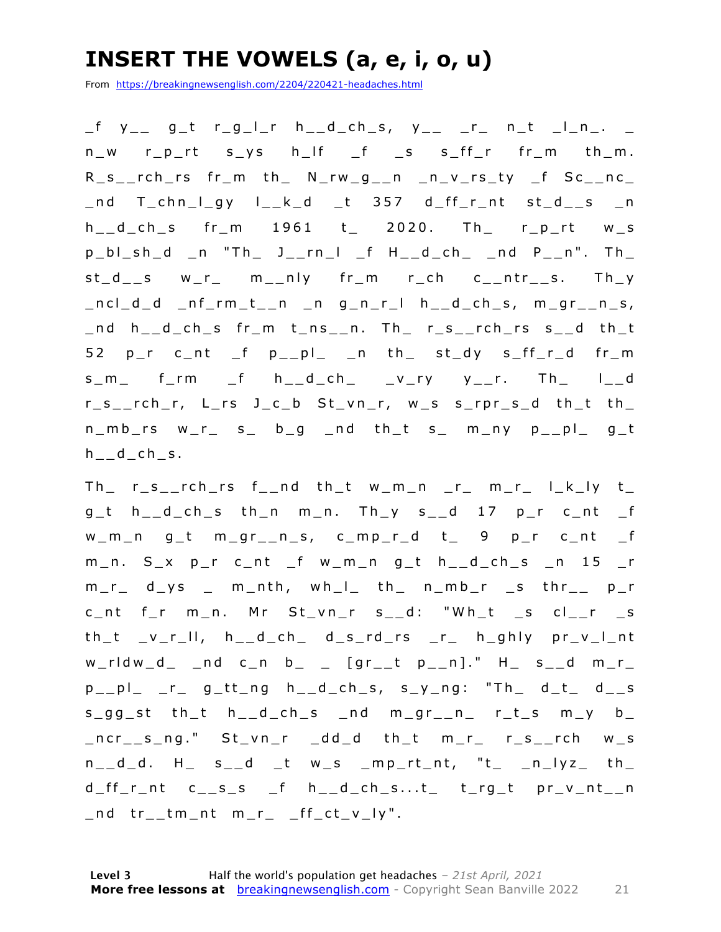#### **INSERT THE VOWELS (a, e, i, o, u)**

From https://breakingnewsenglish.com/2204/220421-headaches.html

\_f y\_\_ g\_t r\_g\_l\_r h\_\_d\_ch\_s, y\_\_ \_r\_ n\_t \_l\_n\_. \_ n\_w r\_p\_rt s\_ys h\_lf \_f \_s s\_ff\_r fr\_m th\_m. R\_s\_\_rch\_rs fr\_m th\_ N\_rw\_g\_\_n \_n\_v\_rs\_ty \_f Sc\_\_nc\_ \_nd T\_chn\_l\_gy l\_\_k\_d \_t 357 d\_ff\_r\_nt st\_d\_\_s \_n h\_\_d\_ch\_s fr\_m 1961 t\_ 2020. Th\_ r\_p\_rt w\_s p\_bl\_sh\_d \_n "Th\_ J\_\_rn\_l \_f H\_\_d\_ch\_ \_nd P\_\_n". Th\_ st\_d\_\_s w\_r\_ m\_\_nly fr\_m r\_ch c\_\_ntr\_\_s. Th\_y  $\lnot$  ncl $\lnot$  d  $\lnot$  nf $\lnot$  rm $\lnot$  t $\lnot$  n  $\lnot$  n  $g$   $\lnot$  n  $\lnot$  n  $\lnot$  n  $\lnot$  n  $\lnot$  n  $\lnot$  n  $\lnot$  n  $\lnot$  n  $\lnot$  n  $\lnot$  n  $\lnot$  n  $\lnot$  n  $\lnot$  n  $\lnot$  n  $\lnot$  n  $\lnot$  n  $\lnot$  n  $\lnot$  n  $\lnot$  n  $\lnot$  n \_nd h\_\_d\_ch\_s fr\_m t\_ns\_\_n. Th\_ r\_s\_\_rc h\_rs s\_\_d th\_t 52 p\_r c\_nt \_f p\_\_pl\_ \_n th\_ st\_dy s\_ff\_r\_d fr\_m  $s_m$  f\_rm \_f  $h_d$ \_d\_ch\_ \_v\_ry y\_\_r. Th\_ l\_\_d r\_s\_\_rch\_r, L\_rs J\_c\_b St\_vn\_r, w\_s s\_rpr\_s\_d th\_t th\_  $n_m$ b\_rs w\_r\_ s\_ b\_g \_nd th\_t s\_ m\_ny p\_\_pl\_ g\_t h d ch s.

 $Th_r$  r\_s\_\_rch\_rs f\_\_nd th\_t w\_m\_n \_r\_ m\_r\_ l\_k\_ly t\_  $g_t$  h\_\_d\_ch\_s th\_n m\_n. Th\_y s\_\_d 17 p\_r c\_nt \_f w\_m\_n g\_t m\_gr\_\_n\_s, c\_mp\_r\_d t\_ 9 p\_r c\_nt \_f m\_n. S\_x p\_r c\_nt \_f w\_m\_n g\_t h\_\_d\_ch\_s \_n 15 \_r  $m_r$  d\_ys \_ m\_nth, wh\_l\_ th\_ n\_mb\_r \_s thr\_\_ p\_r c\_nt f\_r m\_n. Mr St\_vn\_r s\_\_d: "Wh\_t \_s cl\_\_r \_s th\_t \_v\_r\_ll, h\_\_d\_ch\_ d\_s\_rd\_rs \_r\_ h\_ghly pr\_v\_l\_nt  $w_r$ rldw\_d\_ \_nd c\_n b\_ \_ [gr\_\_t p\_\_n]." H\_ s\_\_d m\_r\_  $p_{--}pl_{-}$   $r_{-}$   $g_{-}tt_{-}ng$   $h_{--}d_{-}ch_{-}s$ ,  $s_{-}y_{-}ng$ : "Th $_{-}$   $d_{-}t_{-}$   $d_{--}s$  $s_gg_s$ t th\_t h\_\_d\_ch\_s \_nd m\_gr\_\_n\_ r\_t\_s m\_y b\_ \_ncr\_\_s\_ng." St\_vn\_r \_dd\_d th\_t m\_r\_ r\_s\_\_rch w\_s  $n_d_d$ . H  $s_d$  t ws mp\_rt\_nt, "t nlyz th  $d_{f}f_{r}$ nt c\_\_s\_s \_f h\_\_d\_ch\_s...t\_ t\_rg\_t pr\_v\_nt\_\_n  $\_nd$  tr $\_tm\_nt$   $m\_r\_$   $_{ff\_ct\_v\_ly}$ ".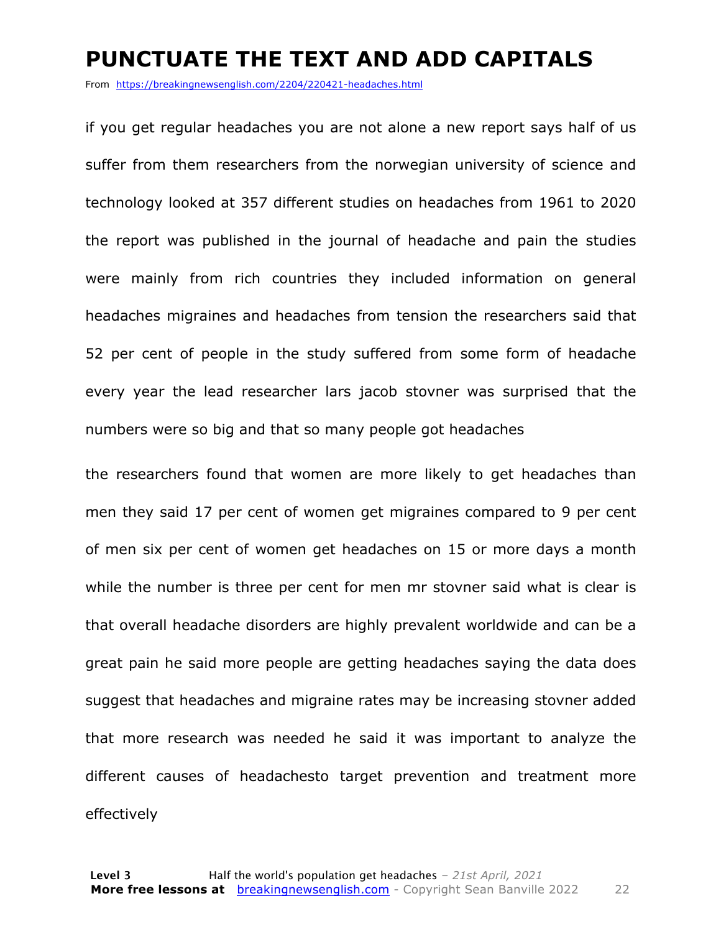#### **PUNCTUATE THE TEXT AND ADD CAPITALS**

From https://breakingnewsenglish.com/2204/220421-headaches.html

if you get regular headaches you are not alone a new report says half of us suffer from them researchers from the norwegian university of science and technology looked at 357 different studies on headaches from 1961 to 2020 the report was published in the journal of headache and pain the studies were mainly from rich countries they included information on general headaches migraines and headaches from tension the researchers said that 52 per cent of people in the study suffered from some form of headache every year the lead researcher lars jacob stovner was surprised that the numbers were so big and that so many people got headaches

the researchers found that women are more likely to get headaches than men they said 17 per cent of women get migraines compared to 9 per cent of men six per cent of women get headaches on 15 or more days a month while the number is three per cent for men mr stovner said what is clear is that overall headache disorders are highly prevalent worldwide and can be a great pain he said more people are getting headaches saying the data does suggest that headaches and migraine rates may be increasing stovner added that more research was needed he said it was important to analyze the different causes of headachesto target prevention and treatment more effectively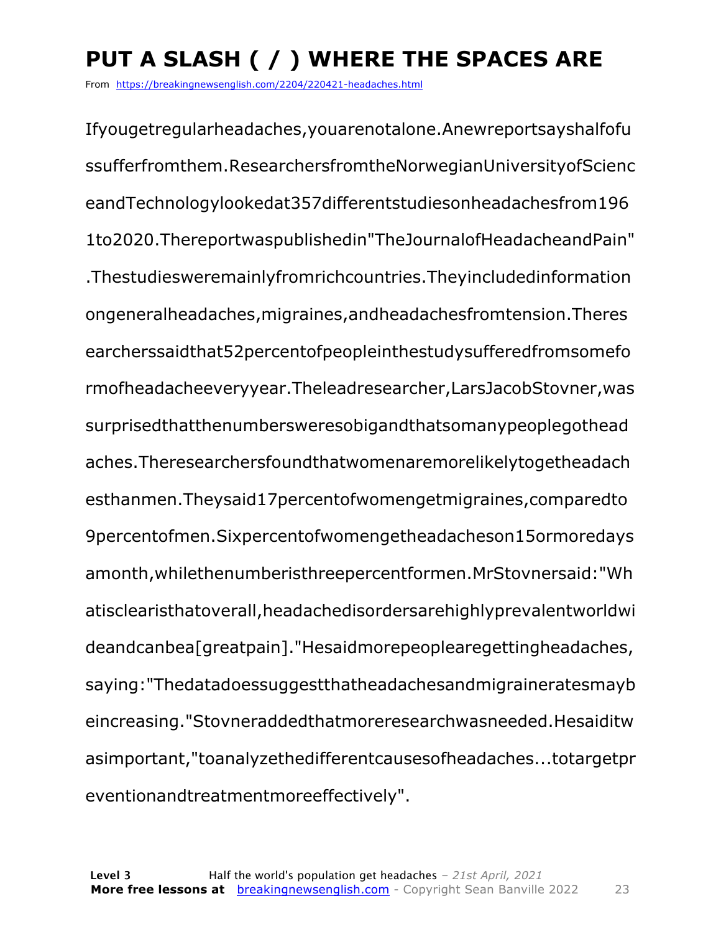### **PUT A SLASH ( / ) WHERE THE SPACES ARE**

From https://breakingnewsenglish.com/2204/220421-headaches.html

Ifyougetregularheadaches,youarenotalone.Anewreportsayshalfofu ssufferfromthem.ResearchersfromtheNorwegianUniversityofScienc eandTechnologylookedat357differentstudiesonheadachesfrom196 1to2020.Thereportwaspublishedin"TheJournalofHeadacheandPain" .Thestudiesweremainlyfromrichcountries.Theyincludedinformation ongeneralheadaches,migraines,andheadachesfromtension.Theres earcherssaidthat52percentofpeopleinthestudysufferedfromsomefo rmofheadacheeveryyear.Theleadresearcher,LarsJacobStovner,was surprisedthatthenumbersweresobigandthatsomanypeoplegothead aches.Theresearchersfoundthatwomenaremorelikelytogetheadach esthanmen.Theysaid17percentofwomengetmigraines,comparedto 9percentofmen.Sixpercentofwomengetheadacheson15ormoredays amonth,whilethenumberisthreepercentformen.MrStovnersaid:"Wh atisclearisthatoverall,headachedisordersarehighlyprevalentworldwi deandcanbea[greatpain]."Hesaidmorepeoplearegettingheadaches, saying:"Thedatadoessuggestthatheadachesandmigraineratesmayb eincreasing."Stovneraddedthatmoreresearchwasneeded.Hesaiditw asimportant,"toanalyzethedifferentcausesofheadaches...totargetpr eventionandtreatmentmoreeffectively".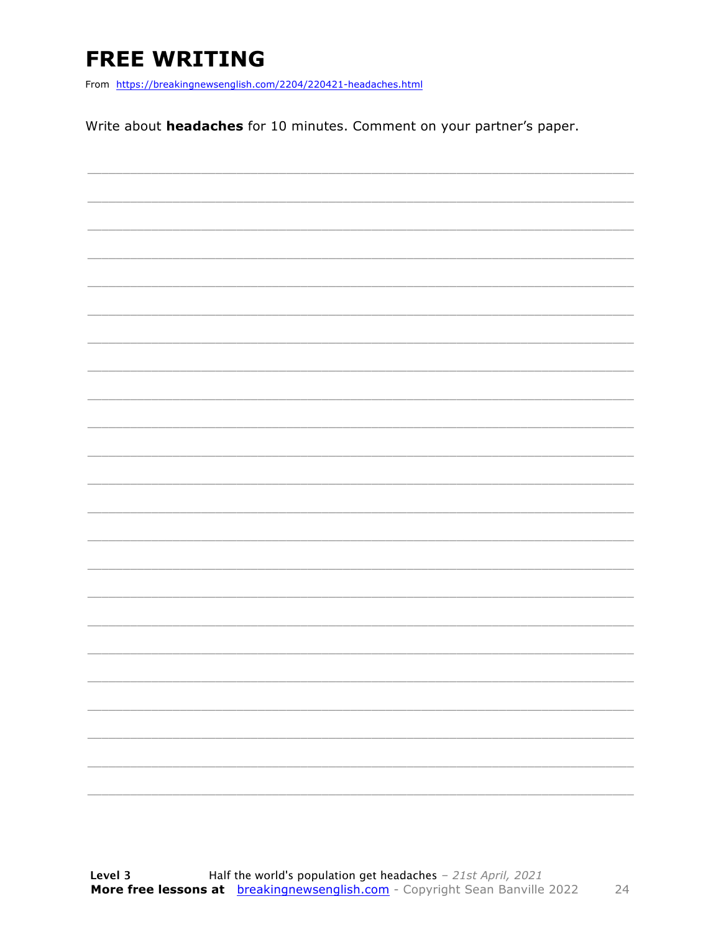### **FREE WRITING**

From https://breakingnewsenglish.com/2204/220421-headaches.html

Write about headaches for 10 minutes. Comment on your partner's paper.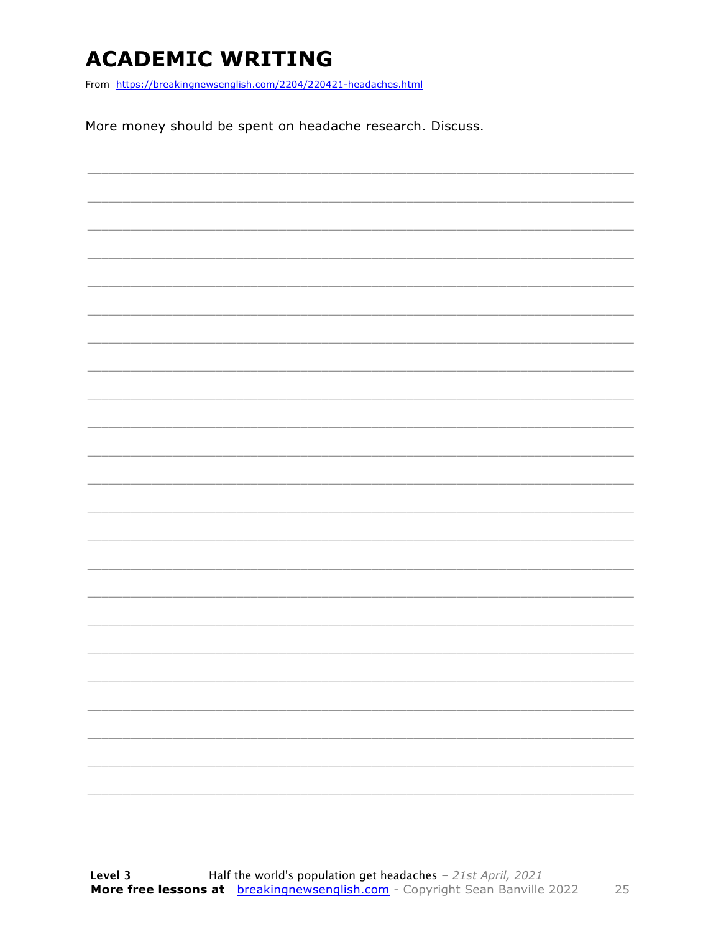### **ACADEMIC WRITING**

From https://breakingnewsenglish.com/2204/220421-headaches.html

More money should be spent on headache research. Discuss.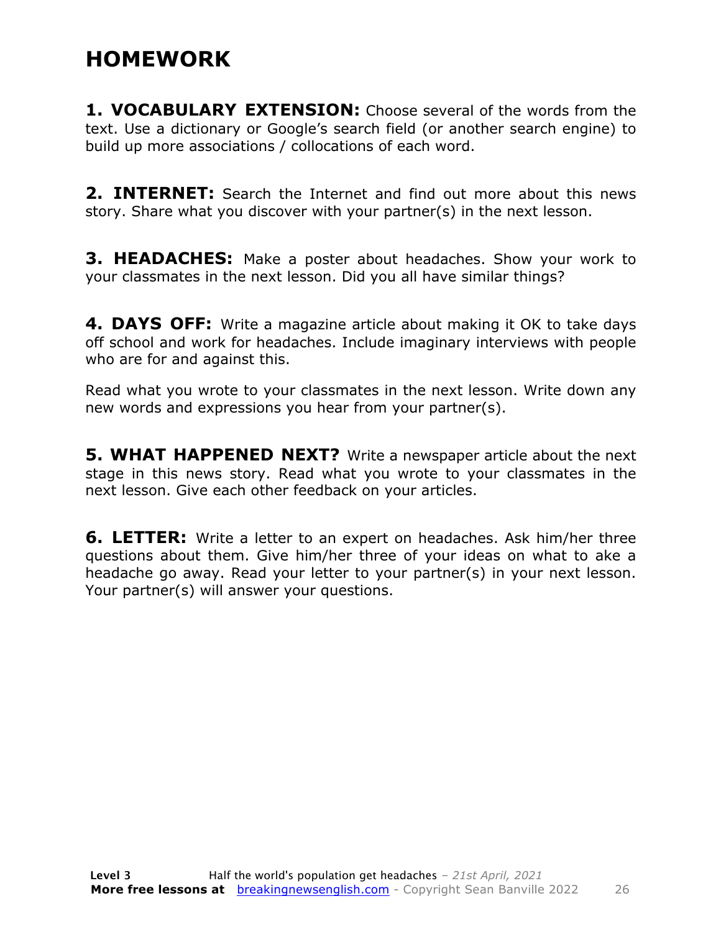### **HOMEWORK**

**1. VOCABULARY EXTENSION:** Choose several of the words from the text. Use a dictionary or Google's search field (or another search engine) to build up more associations / collocations of each word.

**2. INTERNET:** Search the Internet and find out more about this news story. Share what you discover with your partner(s) in the next lesson.

**3. HEADACHES:** Make a poster about headaches. Show your work to your classmates in the next lesson. Did you all have similar things?

**4. DAYS OFF:** Write a magazine article about making it OK to take days off school and work for headaches. Include imaginary interviews with people who are for and against this.

Read what you wrote to your classmates in the next lesson. Write down any new words and expressions you hear from your partner(s).

**5. WHAT HAPPENED NEXT?** Write a newspaper article about the next stage in this news story. Read what you wrote to your classmates in the next lesson. Give each other feedback on your articles.

**6. LETTER:** Write a letter to an expert on headaches. Ask him/her three questions about them. Give him/her three of your ideas on what to ake a headache go away. Read your letter to your partner(s) in your next lesson. Your partner(s) will answer your questions.